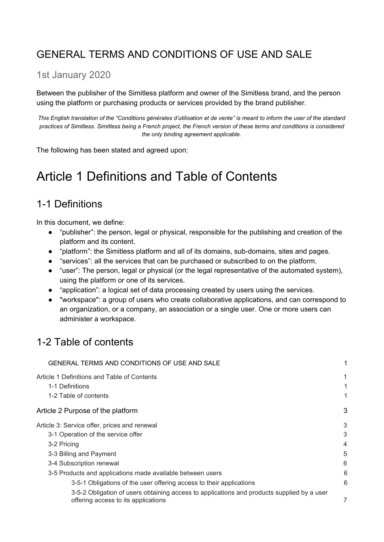### <span id="page-0-0"></span>GENERAL TERMS AND CONDITIONS OF USE AND SALE

#### 1st January 2020

Between the publisher of the Simitless platform and owner of the Simitless brand, and the person using the platform or purchasing products or services provided by the brand publisher.

*This English translation of the "Conditions générales d'utilisation et de vente" is meant to inform the user of the standard practices of Simitless. Simitless being a French project, the French version of these terms and conditions is considered the only binding agreement applicable.*

The following has been stated and agreed upon:

## <span id="page-0-1"></span>Article 1 Definitions and Table of Contents

### <span id="page-0-2"></span>1-1 Definitions

In this document, we define:

- "publisher": the person, legal or physical, responsible for the publishing and creation of the platform and its content.
- "platform": the Simitless platform and all of its domains, sub-domains, sites and pages.
- "services": all the services that can be purchased or subscribed to on the platform.
- "user": The person, legal or physical (or the legal representative of the automated system), using the platform or one of its services.
- "application": a logical set of data processing created by users using the services.
- "workspace": a group of users who create collaborative applications, and can correspond to an organization, or a company, an association or a single user. One or more users can administer a workspace.

### <span id="page-0-3"></span>1-2 Table of contents

| GENERAL TERMS AND CONDITIONS OF USE AND SALE                                                                                      | 1  |
|-----------------------------------------------------------------------------------------------------------------------------------|----|
| Article 1 Definitions and Table of Contents                                                                                       | 1  |
| 1-1 Definitions                                                                                                                   | 1  |
| 1-2 Table of contents                                                                                                             | 1. |
| Article 2 Purpose of the platform                                                                                                 | 3  |
| Article 3: Service offer, prices and renewal                                                                                      | 3  |
| 3-1 Operation of the service offer                                                                                                | 3  |
| 3-2 Pricing                                                                                                                       | 4  |
| 3-3 Billing and Payment                                                                                                           | 5  |
| 3-4 Subscription renewal                                                                                                          | 6  |
| 3-5 Products and applications made available between users                                                                        | 6  |
| 3-5-1 Obligations of the user offering access to their applications                                                               | 6  |
| 3-5-2 Obligation of users obtaining access to applications and products supplied by a user<br>offering access to its applications | 7  |
|                                                                                                                                   |    |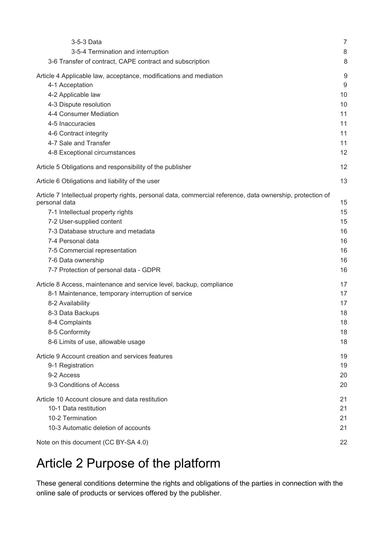| 3-5-3 Data                                                                                                 | 7                |
|------------------------------------------------------------------------------------------------------------|------------------|
| 3-5-4 Termination and interruption                                                                         | 8                |
| 3-6 Transfer of contract, CAPE contract and subscription                                                   | 8                |
| Article 4 Applicable law, acceptance, modifications and mediation                                          | $\boldsymbol{9}$ |
| 4-1 Acceptation                                                                                            | $9\,$            |
| 4-2 Applicable law                                                                                         | 10               |
| 4-3 Dispute resolution                                                                                     | 10               |
| 4-4 Consumer Mediation                                                                                     | 11               |
| 4-5 Inaccuracies                                                                                           | 11               |
| 4-6 Contract integrity                                                                                     | 11               |
| 4-7 Sale and Transfer                                                                                      | 11               |
| 4-8 Exceptional circumstances                                                                              | 12               |
| Article 5 Obligations and responsibility of the publisher                                                  | 12               |
| Article 6 Obligations and liability of the user                                                            | 13               |
| Article 7 Intellectual property rights, personal data, commercial reference, data ownership, protection of |                  |
| personal data                                                                                              | 15               |
| 7-1 Intellectual property rights                                                                           | 15               |
| 7-2 User-supplied content                                                                                  | 15               |
| 7-3 Database structure and metadata                                                                        | 16               |
| 7-4 Personal data                                                                                          | 16               |
| 7-5 Commercial representation                                                                              | 16               |
| 7-6 Data ownership                                                                                         | 16               |
| 7-7 Protection of personal data - GDPR                                                                     | 16               |
| Article 8 Access, maintenance and service level, backup, compliance                                        | 17               |
| 8-1 Maintenance, temporary interruption of service                                                         | 17               |
| 8-2 Availability                                                                                           | 17               |
| 8-3 Data Backups                                                                                           | 18               |
| 8-4 Complaints                                                                                             | 18               |
| 8-5 Conformity                                                                                             | 18               |
| 8-6 Limits of use, allowable usage                                                                         | 18               |
| Article 9 Account creation and services features                                                           | 19               |
| 9-1 Registration                                                                                           | 19               |
| 9-2 Access                                                                                                 | 20               |
| 9-3 Conditions of Access                                                                                   | 20               |
| Article 10 Account closure and data restitution                                                            | 21               |
| 10-1 Data restitution                                                                                      | 21               |
| 10-2 Termination                                                                                           | 21               |
| 10-3 Automatic deletion of accounts                                                                        | 21               |
| Note on this document (CC BY-SA 4.0)                                                                       | 22               |

## <span id="page-1-0"></span>Article 2 Purpose of the platform

These general conditions determine the rights and obligations of the parties in connection with the online sale of products or services offered by the publisher.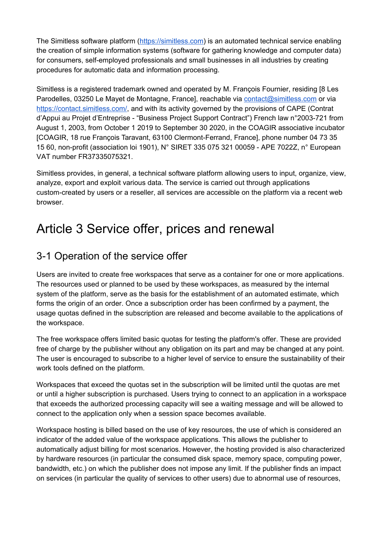The Simitless software platform ([https://simitless.com\)](https://simitless.com/en/) is an automated technical service enabling the creation of simple information systems (software for gathering knowledge and computer data) for consumers, self-employed professionals and small businesses in all industries by creating procedures for automatic data and information processing.

Simitless is a registered trademark owned and operated by M. François Fournier, residing [8 Les Parodelles, 03250 Le Mayet de Montagne, France], reachable via [contact@simitless.com](mailto:contact@simitless.com) or via <https://contact.simitless.com/>, and with its activity governed by the provisions of CAPE (Contrat d'Appui au Projet d'Entreprise - "Business Project Support Contract") French law n°2003-721 from August 1, 2003, from October 1 2019 to September 30 2020, in the COAGIR associative incubator [COAGIR, 18 rue François Taravant, 63100 Clermont-Ferrand, France], phone number 04 73 35 15 60, non-profit (association loi 1901), N° SIRET 335 075 321 00059 - APE 7022Z, n° European VAT number FR37335075321.

Simitless provides, in general, a technical software platform allowing users to input, organize, view, analyze, export and exploit various data. The service is carried out through applications custom-created by users or a reseller, all services are accessible on the platform via a recent web browser.

## <span id="page-2-0"></span>Article 3 Service offer, prices and renewal

### <span id="page-2-1"></span>3-1 Operation of the service offer

Users are invited to create free workspaces that serve as a container for one or more applications. The resources used or planned to be used by these workspaces, as measured by the internal system of the platform, serve as the basis for the establishment of an automated estimate, which forms the origin of an order. Once a subscription order has been confirmed by a payment, the usage quotas defined in the subscription are released and become available to the applications of the workspace.

The free workspace offers limited basic quotas for testing the platform's offer. These are provided free of charge by the publisher without any obligation on its part and may be changed at any point. The user is encouraged to subscribe to a higher level of service to ensure the sustainability of their work tools defined on the platform.

Workspaces that exceed the quotas set in the subscription will be limited until the quotas are met or until a higher subscription is purchased. Users trying to connect to an application in a workspace that exceeds the authorized processing capacity will see a waiting message and will be allowed to connect to the application only when a session space becomes available.

Workspace hosting is billed based on the use of key resources, the use of which is considered an indicator of the added value of the workspace applications. This allows the publisher to automatically adjust billing for most scenarios. However, the hosting provided is also characterized by hardware resources (in particular the consumed disk space, memory space, computing power, bandwidth, etc.) on which the publisher does not impose any limit. If the publisher finds an impact on services (in particular the quality of services to other users) due to abnormal use of resources,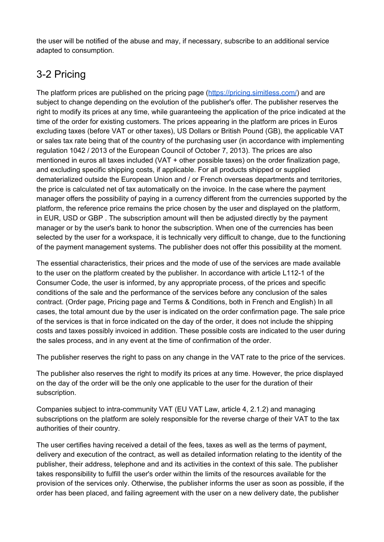the user will be notified of the abuse and may, if necessary, subscribe to an additional service adapted to consumption.

### <span id="page-3-0"></span>3-2 Pricing

The platform prices are published on the pricing page ([https://pricing.simitless.com/\)](https://pricing.simitless.com/) and are subject to change depending on the evolution of the publisher's offer. The publisher reserves the right to modify its prices at any time, while guaranteeing the application of the price indicated at the time of the order for existing customers. The prices appearing in the platform are prices in Euros excluding taxes (before VAT or other taxes), US Dollars or British Pound (GB), the applicable VAT or sales tax rate being that of the country of the purchasing user (in accordance with implementing regulation 1042 / 2013 of the European Council of October 7, 2013). The prices are also mentioned in euros all taxes included (VAT + other possible taxes) on the order finalization page, and excluding specific shipping costs, if applicable. For all products shipped or supplied dematerialized outside the European Union and / or French overseas departments and territories, the price is calculated net of tax automatically on the invoice. In the case where the payment manager offers the possibility of paying in a currency different from the currencies supported by the platform, the reference price remains the price chosen by the user and displayed on the platform, in EUR, USD or GBP . The subscription amount will then be adjusted directly by the payment manager or by the user's bank to honor the subscription. When one of the currencies has been selected by the user for a workspace, it is technically very difficult to change, due to the functioning of the payment management systems. The publisher does not offer this possibility at the moment.

The essential characteristics, their prices and the mode of use of the services are made available to the user on the platform created by the publisher. In accordance with article L112-1 of the Consumer Code, the user is informed, by any appropriate process, of the prices and specific conditions of the sale and the performance of the services before any conclusion of the sales contract. (Order page, Pricing page and Terms & Conditions, both in French and English) In all cases, the total amount due by the user is indicated on the order confirmation page. The sale price of the services is that in force indicated on the day of the order, it does not include the shipping costs and taxes possibly invoiced in addition. These possible costs are indicated to the user during the sales process, and in any event at the time of confirmation of the order.

The publisher reserves the right to pass on any change in the VAT rate to the price of the services.

The publisher also reserves the right to modify its prices at any time. However, the price displayed on the day of the order will be the only one applicable to the user for the duration of their subscription.

Companies subject to intra-community VAT (EU VAT Law, article 4, 2.1.2) and managing subscriptions on the platform are solely responsible for the reverse charge of their VAT to the tax authorities of their country.

The user certifies having received a detail of the fees, taxes as well as the terms of payment, delivery and execution of the contract, as well as detailed information relating to the identity of the publisher, their address, telephone and and its activities in the context of this sale. The publisher takes responsibility to fulfill the user's order within the limits of the resources available for the provision of the services only. Otherwise, the publisher informs the user as soon as possible, if the order has been placed, and failing agreement with the user on a new delivery date, the publisher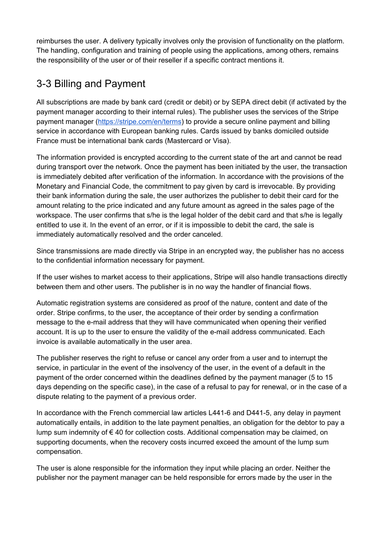reimburses the user. A delivery typically involves only the provision of functionality on the platform. The handling, configuration and training of people using the applications, among others, remains the responsibility of the user or of their reseller if a specific contract mentions it.

### <span id="page-4-0"></span>3-3 Billing and Payment

All subscriptions are made by bank card (credit or debit) or by SEPA direct debit (if activated by the payment manager according to their internal rules). The publisher uses the services of the Stripe payment manager [\(https://stripe.com/en/terms](https://stripe.com/en/terms)) to provide a secure online payment and billing service in accordance with European banking rules. Cards issued by banks domiciled outside France must be international bank cards (Mastercard or Visa).

The information provided is encrypted according to the current state of the art and cannot be read during transport over the network. Once the payment has been initiated by the user, the transaction is immediately debited after verification of the information. In accordance with the provisions of the Monetary and Financial Code, the commitment to pay given by card is irrevocable. By providing their bank information during the sale, the user authorizes the publisher to debit their card for the amount relating to the price indicated and any future amount as agreed in the sales page of the workspace. The user confirms that s/he is the legal holder of the debit card and that s/he is legally entitled to use it. In the event of an error, or if it is impossible to debit the card, the sale is immediately automatically resolved and the order canceled.

Since transmissions are made directly via Stripe in an encrypted way, the publisher has no access to the confidential information necessary for payment.

If the user wishes to market access to their applications, Stripe will also handle transactions directly between them and other users. The publisher is in no way the handler of financial flows.

Automatic registration systems are considered as proof of the nature, content and date of the order. Stripe confirms, to the user, the acceptance of their order by sending a confirmation message to the e-mail address that they will have communicated when opening their verified account. It is up to the user to ensure the validity of the e-mail address communicated. Each invoice is available automatically in the user area.

The publisher reserves the right to refuse or cancel any order from a user and to interrupt the service, in particular in the event of the insolvency of the user, in the event of a default in the payment of the order concerned within the deadlines defined by the payment manager (5 to 15 days depending on the specific case), in the case of a refusal to pay for renewal, or in the case of a dispute relating to the payment of a previous order.

In accordance with the French commercial law articles L441-6 and D441-5, any delay in payment automatically entails, in addition to the late payment penalties, an obligation for the debtor to pay a lump sum indemnity of € 40 for collection costs. Additional compensation may be claimed, on supporting documents, when the recovery costs incurred exceed the amount of the lump sum compensation.

The user is alone responsible for the information they input while placing an order. Neither the publisher nor the payment manager can be held responsible for errors made by the user in the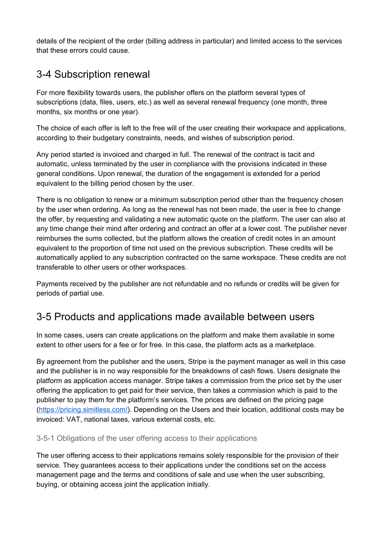details of the recipient of the order (billing address in particular) and limited access to the services that these errors could cause.

### <span id="page-5-0"></span>3-4 Subscription renewal

For more flexibility towards users, the publisher offers on the platform several types of subscriptions (data, files, users, etc.) as well as several renewal frequency (one month, three months, six months or one year).

The choice of each offer is left to the free will of the user creating their workspace and applications, according to their budgetary constraints, needs, and wishes of subscription period.

Any period started is invoiced and charged in full. The renewal of the contract is tacit and automatic, unless terminated by the user in compliance with the provisions indicated in these general conditions. Upon renewal, the duration of the engagement is extended for a period equivalent to the billing period chosen by the user.

There is no obligation to renew or a minimum subscription period other than the frequency chosen by the user when ordering. As long as the renewal has not been made, the user is free to change the offer, by requesting and validating a new automatic quote on the platform. The user can also at any time change their mind after ordering and contract an offer at a lower cost. The publisher never reimburses the sums collected, but the platform allows the creation of credit notes in an amount equivalent to the proportion of time not used on the previous subscription. These credits will be automatically applied to any subscription contracted on the same workspace. These credits are not transferable to other users or other workspaces.

Payments received by the publisher are not refundable and no refunds or credits will be given for periods of partial use.

#### <span id="page-5-1"></span>3-5 Products and applications made available between users

In some cases, users can create applications on the platform and make them available in some extent to other users for a fee or for free. In this case, the platform acts as a marketplace.

By agreement from the publisher and the users, Stripe is the payment manager as well in this case and the publisher is in no way responsible for the breakdowns of cash flows. Users designate the platform as application access manager. Stripe takes a commission from the price set by the user offering the application to get paid for their service, then takes a commission which is paid to the publisher to pay them for the platform's services. The prices are defined on the pricing page [\(https://pricing.simitless.com/\)](https://pricing.simitless.com/). Depending on the Users and their location, additional costs may be invoiced: VAT, national taxes, various external costs, etc.

#### <span id="page-5-2"></span>3-5-1 Obligations of the user offering access to their applications

The user offering access to their applications remains solely responsible for the provision of their service. They guarantees access to their applications under the conditions set on the access management page and the terms and conditions of sale and use when the user subscribing, buying, or obtaining access joint the application initially.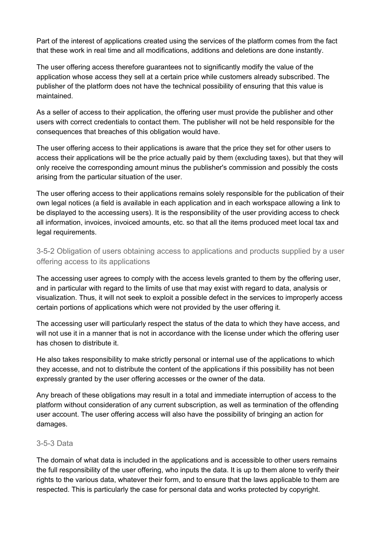Part of the interest of applications created using the services of the platform comes from the fact that these work in real time and all modifications, additions and deletions are done instantly.

The user offering access therefore guarantees not to significantly modify the value of the application whose access they sell at a certain price while customers already subscribed. The publisher of the platform does not have the technical possibility of ensuring that this value is maintained.

As a seller of access to their application, the offering user must provide the publisher and other users with correct credentials to contact them. The publisher will not be held responsible for the consequences that breaches of this obligation would have.

The user offering access to their applications is aware that the price they set for other users to access their applications will be the price actually paid by them (excluding taxes), but that they will only receive the corresponding amount minus the publisher's commission and possibly the costs arising from the particular situation of the user.

The user offering access to their applications remains solely responsible for the publication of their own legal notices (a field is available in each application and in each workspace allowing a link to be displayed to the accessing users). It is the responsibility of the user providing access to check all information, invoices, invoiced amounts, etc. so that all the items produced meet local tax and legal requirements.

<span id="page-6-0"></span>3-5-2 Obligation of users obtaining access to applications and products supplied by a user offering access to its applications

The accessing user agrees to comply with the access levels granted to them by the offering user, and in particular with regard to the limits of use that may exist with regard to data, analysis or visualization. Thus, it will not seek to exploit a possible defect in the services to improperly access certain portions of applications which were not provided by the user offering it.

The accessing user will particularly respect the status of the data to which they have access, and will not use it in a manner that is not in accordance with the license under which the offering user has chosen to distribute it.

He also takes responsibility to make strictly personal or internal use of the applications to which they accesse, and not to distribute the content of the applications if this possibility has not been expressly granted by the user offering accesses or the owner of the data.

Any breach of these obligations may result in a total and immediate interruption of access to the platform without consideration of any current subscription, as well as termination of the offending user account. The user offering access will also have the possibility of bringing an action for damages.

#### <span id="page-6-1"></span>3-5-3 Data

The domain of what data is included in the applications and is accessible to other users remains the full responsibility of the user offering, who inputs the data. It is up to them alone to verify their rights to the various data, whatever their form, and to ensure that the laws applicable to them are respected. This is particularly the case for personal data and works protected by copyright.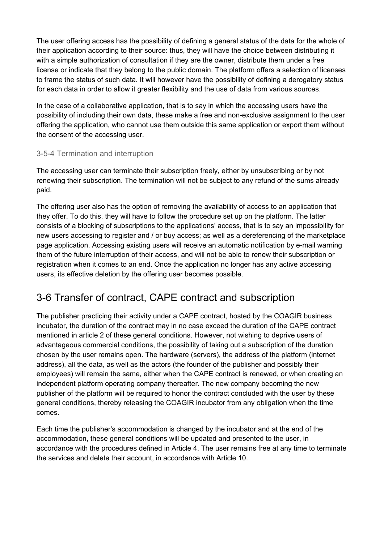The user offering access has the possibility of defining a general status of the data for the whole of their application according to their source: thus, they will have the choice between distributing it with a simple authorization of consultation if they are the owner, distribute them under a free license or indicate that they belong to the public domain. The platform offers a selection of licenses to frame the status of such data. It will however have the possibility of defining a derogatory status for each data in order to allow it greater flexibility and the use of data from various sources.

In the case of a collaborative application, that is to say in which the accessing users have the possibility of including their own data, these make a free and non-exclusive assignment to the user offering the application, who cannot use them outside this same application or export them without the consent of the accessing user.

#### <span id="page-7-0"></span>3-5-4 Termination and interruption

The accessing user can terminate their subscription freely, either by unsubscribing or by not renewing their subscription. The termination will not be subject to any refund of the sums already paid.

The offering user also has the option of removing the availability of access to an application that they offer. To do this, they will have to follow the procedure set up on the platform. The latter consists of a blocking of subscriptions to the applications' access, that is to say an impossibility for new users accessing to register and / or buy access; as well as a dereferencing of the marketplace page application. Accessing existing users will receive an automatic notification by e-mail warning them of the future interruption of their access, and will not be able to renew their subscription or registration when it comes to an end. Once the application no longer has any active accessing users, its effective deletion by the offering user becomes possible.

### <span id="page-7-1"></span>3-6 Transfer of contract, CAPE contract and subscription

The publisher practicing their activity under a CAPE contract, hosted by the COAGIR business incubator, the duration of the contract may in no case exceed the duration of the CAPE contract mentioned in article 2 of these general conditions. However, not wishing to deprive users of advantageous commercial conditions, the possibility of taking out a subscription of the duration chosen by the user remains open. The hardware (servers), the address of the platform (internet address), all the data, as well as the actors (the founder of the publisher and possibly their employees) will remain the same, either when the CAPE contract is renewed, or when creating an independent platform operating company thereafter. The new company becoming the new publisher of the platform will be required to honor the contract concluded with the user by these general conditions, thereby releasing the COAGIR incubator from any obligation when the time comes.

Each time the publisher's accommodation is changed by the incubator and at the end of the accommodation, these general conditions will be updated and presented to the user, in accordance with the procedures defined in Article 4. The user remains free at any time to terminate the services and delete their account, in accordance with Article 10.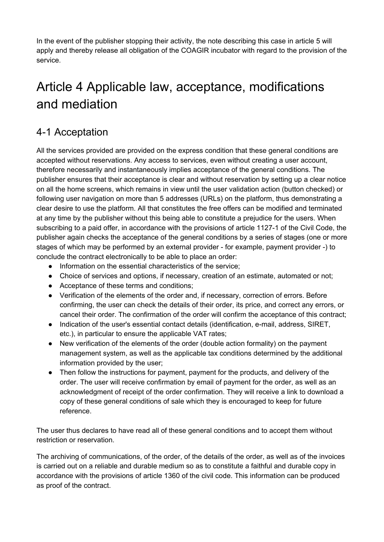In the event of the publisher stopping their activity, the note describing this case in article 5 will apply and thereby release all obligation of the COAGIR incubator with regard to the provision of the service.

# <span id="page-8-0"></span>Article 4 Applicable law, acceptance, modifications and mediation

### <span id="page-8-1"></span>4-1 Acceptation

All the services provided are provided on the express condition that these general conditions are accepted without reservations. Any access to services, even without creating a user account, therefore necessarily and instantaneously implies acceptance of the general conditions. The publisher ensures that their acceptance is clear and without reservation by setting up a clear notice on all the home screens, which remains in view until the user validation action (button checked) or following user navigation on more than 5 addresses (URLs) on the platform, thus demonstrating a clear desire to use the platform. All that constitutes the free offers can be modified and terminated at any time by the publisher without this being able to constitute a prejudice for the users. When subscribing to a paid offer, in accordance with the provisions of article 1127-1 of the Civil Code, the publisher again checks the acceptance of the general conditions by a series of stages (one or more stages of which may be performed by an external provider - for example, payment provider -) to conclude the contract electronically to be able to place an order:

- Information on the essential characteristics of the service;
- Choice of services and options, if necessary, creation of an estimate, automated or not;
- Acceptance of these terms and conditions;
- Verification of the elements of the order and, if necessary, correction of errors. Before confirming, the user can check the details of their order, its price, and correct any errors, or cancel their order. The confirmation of the order will confirm the acceptance of this contract;
- Indication of the user's essential contact details (identification, e-mail, address, SIRET, etc.), in particular to ensure the applicable VAT rates;
- New verification of the elements of the order (double action formality) on the payment management system, as well as the applicable tax conditions determined by the additional information provided by the user;
- Then follow the instructions for payment, payment for the products, and delivery of the order. The user will receive confirmation by email of payment for the order, as well as an acknowledgment of receipt of the order confirmation. They will receive a link to download a copy of these general conditions of sale which they is encouraged to keep for future reference.

The user thus declares to have read all of these general conditions and to accept them without restriction or reservation.

The archiving of communications, of the order, of the details of the order, as well as of the invoices is carried out on a reliable and durable medium so as to constitute a faithful and durable copy in accordance with the provisions of article 1360 of the civil code. This information can be produced as proof of the contract.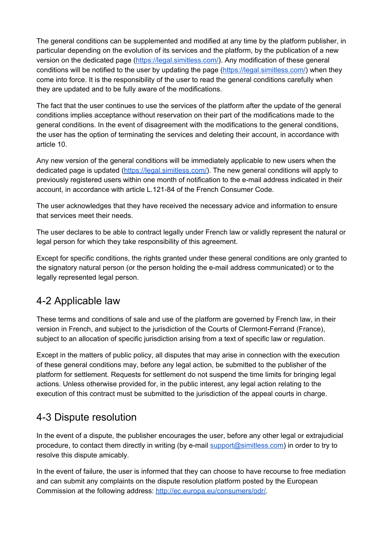The general conditions can be supplemented and modified at any time by the platform publisher, in particular depending on the evolution of its services and the platform, by the publication of a new version on the dedicated page (<https://legal.simitless.com/>). Any modification of these general conditions will be notified to the user by updating the page [\(https://legal.simitless.com/](https://legal.simitless.com/)) when they come into force. It is the responsibility of the user to read the general conditions carefully when they are updated and to be fully aware of the modifications.

The fact that the user continues to use the services of the platform after the update of the general conditions implies acceptance without reservation on their part of the modifications made to the general conditions. In the event of disagreement with the modifications to the general conditions, the user has the option of terminating the services and deleting their account, in accordance with article 10.

Any new version of the general conditions will be immediately applicable to new users when the dedicated page is updated [\(https://legal.simitless.com/\)](https://legal.simitless.com/). The new general conditions will apply to previously registered users within one month of notification to the e-mail address indicated in their account, in accordance with article L.121-84 of the French Consumer Code.

The user acknowledges that they have received the necessary advice and information to ensure that services meet their needs.

The user declares to be able to contract legally under French law or validly represent the natural or legal person for which they take responsibility of this agreement.

Except for specific conditions, the rights granted under these general conditions are only granted to the signatory natural person (or the person holding the e-mail address communicated) or to the legally represented legal person.

### <span id="page-9-0"></span>4-2 Applicable law

These terms and conditions of sale and use of the platform are governed by French law, in their version in French, and subject to the jurisdiction of the Courts of Clermont-Ferrand (France), subject to an allocation of specific jurisdiction arising from a text of specific law or regulation.

Except in the matters of public policy, all disputes that may arise in connection with the execution of these general conditions may, before any legal action, be submitted to the publisher of the platform for settlement. Requests for settlement do not suspend the time limits for bringing legal actions. Unless otherwise provided for, in the public interest, any legal action relating to the execution of this contract must be submitted to the jurisdiction of the appeal courts in charge.

### <span id="page-9-1"></span>4-3 Dispute resolution

In the event of a dispute, the publisher encourages the user, before any other legal or extrajudicial procedure, to contact them directly in writing (by e-mail [support@simitless.com\)](mailto:support@simitless.com) in order to try to resolve this dispute amicably.

In the event of failure, the user is informed that they can choose to have recourse to free mediation and can submit any complaints on the dispute resolution platform posted by the European Commission at the following address: [http://ec.europa.eu/consumers/odr/.](http://ec.europa.eu/consumers/odr/)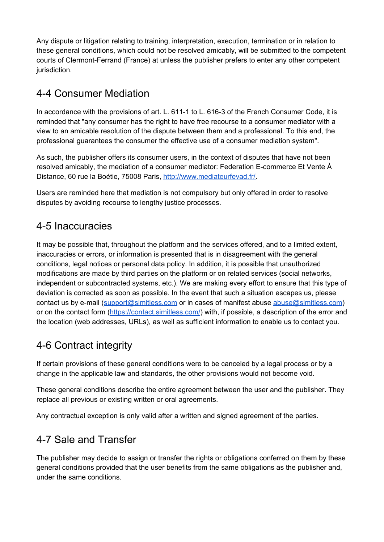Any dispute or litigation relating to training, interpretation, execution, termination or in relation to these general conditions, which could not be resolved amicably, will be submitted to the competent courts of Clermont-Ferrand (France) at unless the publisher prefers to enter any other competent jurisdiction.

### <span id="page-10-0"></span>4-4 Consumer Mediation

In accordance with the provisions of art. L. 611-1 to L. 616-3 of the French Consumer Code, it is reminded that "any consumer has the right to have free recourse to a consumer mediator with a view to an amicable resolution of the dispute between them and a professional. To this end, the professional guarantees the consumer the effective use of a consumer mediation system".

As such, the publisher offers its consumer users, in the context of disputes that have not been resolved amicably, the mediation of a consumer mediator: Federation E-commerce Et Vente À Distance, 60 rue la Boétie, 75008 Paris, [http://www.mediateurfevad.fr/.](http://www.mediateurfevad.fr/)

Users are reminded here that mediation is not compulsory but only offered in order to resolve disputes by avoiding recourse to lengthy justice processes.

### <span id="page-10-1"></span>4-5 Inaccuracies

It may be possible that, throughout the platform and the services offered, and to a limited extent, inaccuracies or errors, or information is presented that is in disagreement with the general conditions, legal notices or personal data policy. In addition, it is possible that unauthorized modifications are made by third parties on the platform or on related services (social networks, independent or subcontracted systems, etc.). We are making every effort to ensure that this type of deviation is corrected as soon as possible. In the event that such a situation escapes us, please contact us by e-mail [\(support@simitless.com](mailto:support@simitless.com) or in cases of manifest abuse [abuse@simitless.com](mailto:abuse@simitless.com)) or on the contact form [\(https://contact.simitless.com/](https://contact.simitless.com/)) with, if possible, a description of the error and the location (web addresses, URLs), as well as sufficient information to enable us to contact you.

### <span id="page-10-2"></span>4-6 Contract integrity

If certain provisions of these general conditions were to be canceled by a legal process or by a change in the applicable law and standards, the other provisions would not become void.

These general conditions describe the entire agreement between the user and the publisher. They replace all previous or existing written or oral agreements.

Any contractual exception is only valid after a written and signed agreement of the parties.

### <span id="page-10-3"></span>4-7 Sale and Transfer

The publisher may decide to assign or transfer the rights or obligations conferred on them by these general conditions provided that the user benefits from the same obligations as the publisher and, under the same conditions.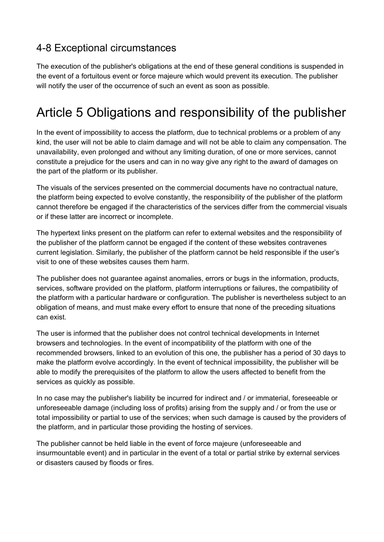### <span id="page-11-0"></span>4-8 Exceptional circumstances

The execution of the publisher's obligations at the end of these general conditions is suspended in the event of a fortuitous event or force majeure which would prevent its execution. The publisher will notify the user of the occurrence of such an event as soon as possible.

# <span id="page-11-1"></span>Article 5 Obligations and responsibility of the publisher

In the event of impossibility to access the platform, due to technical problems or a problem of any kind, the user will not be able to claim damage and will not be able to claim any compensation. The unavailability, even prolonged and without any limiting duration, of one or more services, cannot constitute a prejudice for the users and can in no way give any right to the award of damages on the part of the platform or its publisher.

The visuals of the services presented on the commercial documents have no contractual nature, the platform being expected to evolve constantly, the responsibility of the publisher of the platform cannot therefore be engaged if the characteristics of the services differ from the commercial visuals or if these latter are incorrect or incomplete.

The hypertext links present on the platform can refer to external websites and the responsibility of the publisher of the platform cannot be engaged if the content of these websites contravenes current legislation. Similarly, the publisher of the platform cannot be held responsible if the user's visit to one of these websites causes them harm.

The publisher does not guarantee against anomalies, errors or bugs in the information, products, services, software provided on the platform, platform interruptions or failures, the compatibility of the platform with a particular hardware or configuration. The publisher is nevertheless subject to an obligation of means, and must make every effort to ensure that none of the preceding situations can exist.

The user is informed that the publisher does not control technical developments in Internet browsers and technologies. In the event of incompatibility of the platform with one of the recommended browsers, linked to an evolution of this one, the publisher has a period of 30 days to make the platform evolve accordingly. In the event of technical impossibility, the publisher will be able to modify the prerequisites of the platform to allow the users affected to benefit from the services as quickly as possible.

In no case may the publisher's liability be incurred for indirect and / or immaterial, foreseeable or unforeseeable damage (including loss of profits) arising from the supply and / or from the use or total impossibility or partial to use of the services; when such damage is caused by the providers of the platform, and in particular those providing the hosting of services.

The publisher cannot be held liable in the event of force majeure (unforeseeable and insurmountable event) and in particular in the event of a total or partial strike by external services or disasters caused by floods or fires.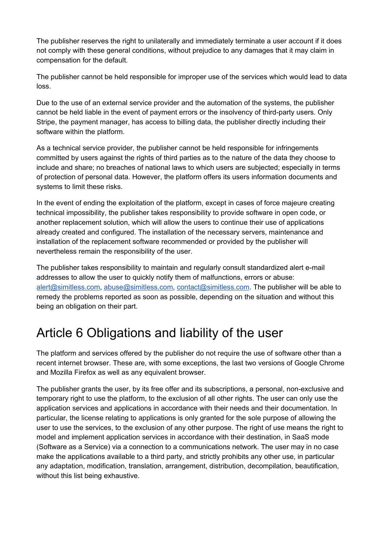The publisher reserves the right to unilaterally and immediately terminate a user account if it does not comply with these general conditions, without prejudice to any damages that it may claim in compensation for the default.

The publisher cannot be held responsible for improper use of the services which would lead to data loss.

Due to the use of an external service provider and the automation of the systems, the publisher cannot be held liable in the event of payment errors or the insolvency of third-party users. Only Stripe, the payment manager, has access to billing data, the publisher directly including their software within the platform.

As a technical service provider, the publisher cannot be held responsible for infringements committed by users against the rights of third parties as to the nature of the data they choose to include and share; no breaches of national laws to which users are subjected; especially in terms of protection of personal data. However, the platform offers its users information documents and systems to limit these risks.

In the event of ending the exploitation of the platform, except in cases of force majeure creating technical impossibility, the publisher takes responsibility to provide software in open code, or another replacement solution, which will allow the users to continue their use of applications already created and configured. The installation of the necessary servers, maintenance and installation of the replacement software recommended or provided by the publisher will nevertheless remain the responsibility of the user.

The publisher takes responsibility to maintain and regularly consult standardized alert e-mail addresses to allow the user to quickly notify them of malfunctions, errors or abuse: [alert@simitless.com](mailto:alert@simitless.com), [abuse@simitless.com,](mailto:abuse@simitless.com) [contact@simitless.com](mailto:contact@simitless.com). The publisher will be able to remedy the problems reported as soon as possible, depending on the situation and without this being an obligation on their part.

# <span id="page-12-0"></span>Article 6 Obligations and liability of the user

The platform and services offered by the publisher do not require the use of software other than a recent internet browser. These are, with some exceptions, the last two versions of Google Chrome and Mozilla Firefox as well as any equivalent browser.

The publisher grants the user, by its free offer and its subscriptions, a personal, non-exclusive and temporary right to use the platform, to the exclusion of all other rights. The user can only use the application services and applications in accordance with their needs and their documentation. In particular, the license relating to applications is only granted for the sole purpose of allowing the user to use the services, to the exclusion of any other purpose. The right of use means the right to model and implement application services in accordance with their destination, in SaaS mode (Software as a Service) via a connection to a communications network. The user may in no case make the applications available to a third party, and strictly prohibits any other use, in particular any adaptation, modification, translation, arrangement, distribution, decompilation, beautification, without this list being exhaustive.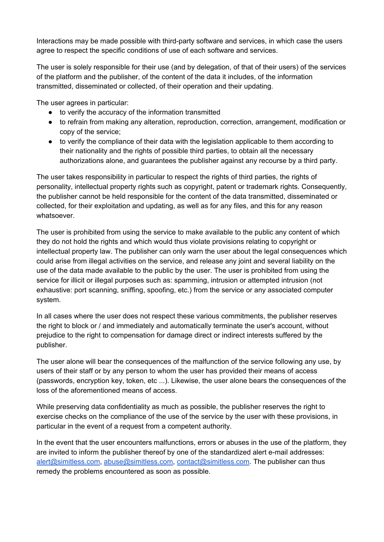Interactions may be made possible with third-party software and services, in which case the users agree to respect the specific conditions of use of each software and services.

The user is solely responsible for their use (and by delegation, of that of their users) of the services of the platform and the publisher, of the content of the data it includes, of the information transmitted, disseminated or collected, of their operation and their updating.

The user agrees in particular:

- to verify the accuracy of the information transmitted
- to refrain from making any alteration, reproduction, correction, arrangement, modification or copy of the service;
- to verify the compliance of their data with the legislation applicable to them according to their nationality and the rights of possible third parties, to obtain all the necessary authorizations alone, and guarantees the publisher against any recourse by a third party.

The user takes responsibility in particular to respect the rights of third parties, the rights of personality, intellectual property rights such as copyright, patent or trademark rights. Consequently, the publisher cannot be held responsible for the content of the data transmitted, disseminated or collected, for their exploitation and updating, as well as for any files, and this for any reason whatsoever.

The user is prohibited from using the service to make available to the public any content of which they do not hold the rights and which would thus violate provisions relating to copyright or intellectual property law. The publisher can only warn the user about the legal consequences which could arise from illegal activities on the service, and release any joint and several liability on the use of the data made available to the public by the user. The user is prohibited from using the service for illicit or illegal purposes such as: spamming, intrusion or attempted intrusion (not exhaustive: port scanning, sniffing, spoofing, etc.) from the service or any associated computer system.

In all cases where the user does not respect these various commitments, the publisher reserves the right to block or / and immediately and automatically terminate the user's account, without prejudice to the right to compensation for damage direct or indirect interests suffered by the publisher.

The user alone will bear the consequences of the malfunction of the service following any use, by users of their staff or by any person to whom the user has provided their means of access (passwords, encryption key, token, etc ...). Likewise, the user alone bears the consequences of the loss of the aforementioned means of access.

While preserving data confidentiality as much as possible, the publisher reserves the right to exercise checks on the compliance of the use of the service by the user with these provisions, in particular in the event of a request from a competent authority.

In the event that the user encounters malfunctions, errors or abuses in the use of the platform, they are invited to inform the publisher thereof by one of the standardized alert e-mail addresses: [alert@simitless.com](mailto:alert@simitless.com), [abuse@simitless.com,](mailto:abuse@simitless.com) [contact@simitless.com](mailto:contact@simitless.com). The publisher can thus remedy the problems encountered as soon as possible.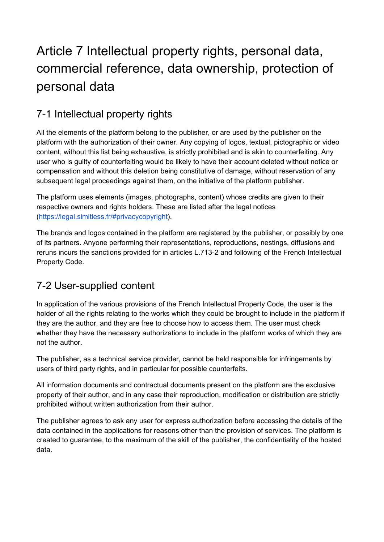# <span id="page-14-0"></span>Article 7 Intellectual property rights, personal data, commercial reference, data ownership, protection of personal data

### <span id="page-14-1"></span>7-1 Intellectual property rights

All the elements of the platform belong to the publisher, or are used by the publisher on the platform with the authorization of their owner. Any copying of logos, textual, pictographic or video content, without this list being exhaustive, is strictly prohibited and is akin to counterfeiting. Any user who is guilty of counterfeiting would be likely to have their account deleted without notice or compensation and without this deletion being constitutive of damage, without reservation of any subsequent legal proceedings against them, on the initiative of the platform publisher.

The platform uses elements (images, photographs, content) whose credits are given to their respective owners and rights holders. These are listed after the legal notices [\(https://legal.simitless.fr/#privacycopyright](https://legal.simitless.fr/#privacycopyright)).

The brands and logos contained in the platform are registered by the publisher, or possibly by one of its partners. Anyone performing their representations, reproductions, nestings, diffusions and reruns incurs the sanctions provided for in articles L.713-2 and following of the French Intellectual Property Code.

### <span id="page-14-2"></span>7-2 User-supplied content

In application of the various provisions of the French Intellectual Property Code, the user is the holder of all the rights relating to the works which they could be brought to include in the platform if they are the author, and they are free to choose how to access them. The user must check whether they have the necessary authorizations to include in the platform works of which they are not the author.

The publisher, as a technical service provider, cannot be held responsible for infringements by users of third party rights, and in particular for possible counterfeits.

All information documents and contractual documents present on the platform are the exclusive property of their author, and in any case their reproduction, modification or distribution are strictly prohibited without written authorization from their author.

The publisher agrees to ask any user for express authorization before accessing the details of the data contained in the applications for reasons other than the provision of services. The platform is created to guarantee, to the maximum of the skill of the publisher, the confidentiality of the hosted data.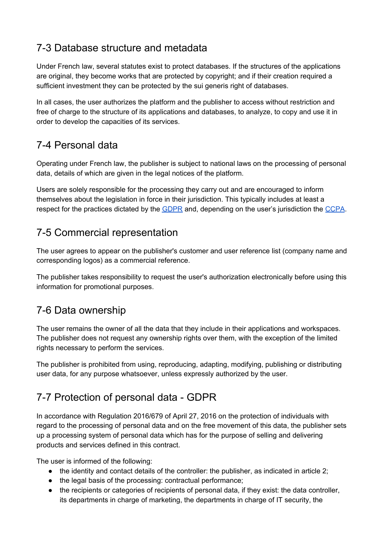### <span id="page-15-0"></span>7-3 Database structure and metadata

Under French law, several statutes exist to protect databases. If the structures of the applications are original, they become works that are protected by copyright; and if their creation required a sufficient investment they can be protected by the sui generis right of databases.

In all cases, the user authorizes the platform and the publisher to access without restriction and free of charge to the structure of its applications and databases, to analyze, to copy and use it in order to develop the capacities of its services.

### <span id="page-15-1"></span>7-4 Personal data

Operating under French law, the publisher is subject to national laws on the processing of personal data, details of which are given in the legal notices of the platform.

Users are solely responsible for the processing they carry out and are encouraged to inform themselves about the legislation in force in their jurisdiction. This typically includes at least a respect for the practices dictated by the [GDPR](https://www.cnil.fr/fr/rgpd-par-ou-commencer) and, depending on the user's jurisdiction the [CCPA](https://en.wikipedia.org/wiki/California_Consumer_Privacy_Act).

### <span id="page-15-2"></span>7-5 Commercial representation

The user agrees to appear on the publisher's customer and user reference list (company name and corresponding logos) as a commercial reference.

The publisher takes responsibility to request the user's authorization electronically before using this information for promotional purposes.

### <span id="page-15-3"></span>7-6 Data ownership

The user remains the owner of all the data that they include in their applications and workspaces. The publisher does not request any ownership rights over them, with the exception of the limited rights necessary to perform the services.

The publisher is prohibited from using, reproducing, adapting, modifying, publishing or distributing user data, for any purpose whatsoever, unless expressly authorized by the user.

### <span id="page-15-4"></span>7-7 Protection of personal data - GDPR

In accordance with Regulation 2016/679 of April 27, 2016 on the protection of individuals with regard to the processing of personal data and on the free movement of this data, the publisher sets up a processing system of personal data which has for the purpose of selling and delivering products and services defined in this contract.

The user is informed of the following:

- $\bullet$  the identity and contact details of the controller: the publisher, as indicated in article 2;
- the legal basis of the processing: contractual performance;
- the recipients or categories of recipients of personal data, if they exist: the data controller, its departments in charge of marketing, the departments in charge of IT security, the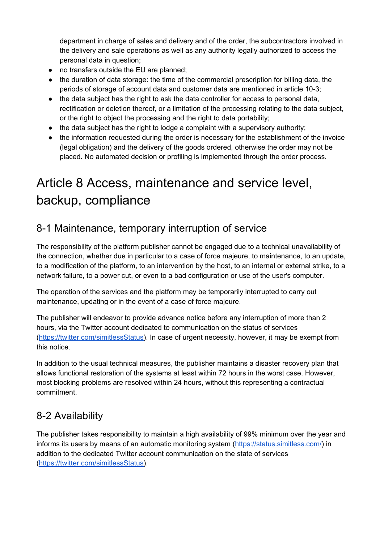department in charge of sales and delivery and of the order, the subcontractors involved in the delivery and sale operations as well as any authority legally authorized to access the personal data in question;

- no transfers outside the EU are planned;
- the duration of data storage: the time of the commercial prescription for billing data, the periods of storage of account data and customer data are mentioned in article 10-3;
- the data subject has the right to ask the data controller for access to personal data, rectification or deletion thereof, or a limitation of the processing relating to the data subject, or the right to object the processing and the right to data portability;
- $\bullet$  the data subject has the right to lodge a complaint with a supervisory authority;
- the information requested during the order is necessary for the establishment of the invoice (legal obligation) and the delivery of the goods ordered, otherwise the order may not be placed. No automated decision or profiling is implemented through the order process.

# <span id="page-16-0"></span>Article 8 Access, maintenance and service level, backup, compliance

### <span id="page-16-1"></span>8-1 Maintenance, temporary interruption of service

The responsibility of the platform publisher cannot be engaged due to a technical unavailability of the connection, whether due in particular to a case of force majeure, to maintenance, to an update, to a modification of the platform, to an intervention by the host, to an internal or external strike, to a network failure, to a power cut, or even to a bad configuration or use of the user's computer.

The operation of the services and the platform may be temporarily interrupted to carry out maintenance, updating or in the event of a case of force majeure.

The publisher will endeavor to provide advance notice before any interruption of more than 2 hours, via the Twitter account dedicated to communication on the status of services [\(https://twitter.com/simitlessStatus](https://twitter.com/simitlessStatus)). In case of urgent necessity, however, it may be exempt from this notice.

In addition to the usual technical measures, the publisher maintains a disaster recovery plan that allows functional restoration of the systems at least within 72 hours in the worst case. However, most blocking problems are resolved within 24 hours, without this representing a contractual commitment.

### <span id="page-16-2"></span>8-2 Availability

The publisher takes responsibility to maintain a high availability of 99% minimum over the year and informs its users by means of an automatic monitoring system (<https://status.simitless.com/>) in addition to the dedicated Twitter account communication on the state of services [\(https://twitter.com/simitlessStatus](https://twitter.com/simitlessStatus)).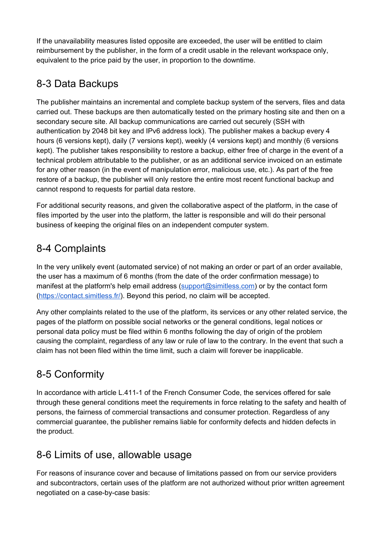If the unavailability measures listed opposite are exceeded, the user will be entitled to claim reimbursement by the publisher, in the form of a credit usable in the relevant workspace only, equivalent to the price paid by the user, in proportion to the downtime.

### <span id="page-17-0"></span>8-3 Data Backups

The publisher maintains an incremental and complete backup system of the servers, files and data carried out. These backups are then automatically tested on the primary hosting site and then on a secondary secure site. All backup communications are carried out securely (SSH with authentication by 2048 bit key and IPv6 address lock). The publisher makes a backup every 4 hours (6 versions kept), daily (7 versions kept), weekly (4 versions kept) and monthly (6 versions kept). The publisher takes responsibility to restore a backup, either free of charge in the event of a technical problem attributable to the publisher, or as an additional service invoiced on an estimate for any other reason (in the event of manipulation error, malicious use, etc.). As part of the free restore of a backup, the publisher will only restore the entire most recent functional backup and cannot respond to requests for partial data restore.

For additional security reasons, and given the collaborative aspect of the platform, in the case of files imported by the user into the platform, the latter is responsible and will do their personal business of keeping the original files on an independent computer system.

### <span id="page-17-1"></span>8-4 Complaints

In the very unlikely event (automated service) of not making an order or part of an order available, the user has a maximum of 6 months (from the date of the order confirmation message) to manifest at the platform's help email address [\(support@simitless.com\)](mailto:support@simitless.com) or by the contact form [\(https://contact.simitless.fr/\)](https://contact.simitless.fr/). Beyond this period, no claim will be accepted.

Any other complaints related to the use of the platform, its services or any other related service, the pages of the platform on possible social networks or the general conditions, legal notices or personal data policy must be filed within 6 months following the day of origin of the problem causing the complaint, regardless of any law or rule of law to the contrary. In the event that such a claim has not been filed within the time limit, such a claim will forever be inapplicable.

### <span id="page-17-2"></span>8-5 Conformity

In accordance with article L.411-1 of the French Consumer Code, the services offered for sale through these general conditions meet the requirements in force relating to the safety and health of persons, the fairness of commercial transactions and consumer protection. Regardless of any commercial guarantee, the publisher remains liable for conformity defects and hidden defects in the product.

### <span id="page-17-3"></span>8-6 Limits of use, allowable usage

For reasons of insurance cover and because of limitations passed on from our service providers and subcontractors, certain uses of the platform are not authorized without prior written agreement negotiated on a case-by-case basis: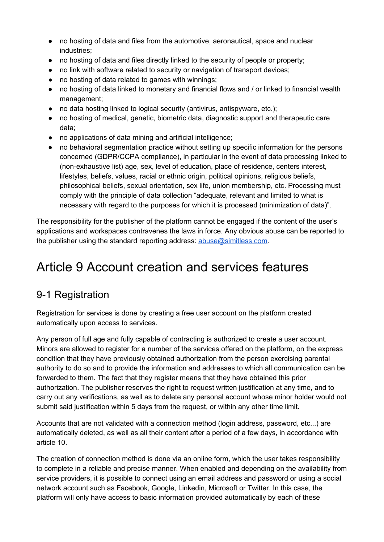- no hosting of data and files from the automotive, aeronautical, space and nuclear industries;
- no hosting of data and files directly linked to the security of people or property;
- no link with software related to security or navigation of transport devices;
- no hosting of data related to games with winnings;
- no hosting of data linked to monetary and financial flows and / or linked to financial wealth management;
- no data hosting linked to logical security (antivirus, antispyware, etc.);
- no hosting of medical, genetic, biometric data, diagnostic support and therapeutic care data;
- no applications of data mining and artificial intelligence;
- no behavioral segmentation practice without setting up specific information for the persons concerned (GDPR/CCPA compliance), in particular in the event of data processing linked to (non-exhaustive list) age, sex, level of education, place of residence, centers interest, lifestyles, beliefs, values, racial or ethnic origin, political opinions, religious beliefs, philosophical beliefs, sexual orientation, sex life, union membership, etc. Processing must comply with the principle of data collection "adequate, relevant and limited to what is necessary with regard to the purposes for which it is processed (minimization of data)".

The responsibility for the publisher of the platform cannot be engaged if the content of the user's applications and workspaces contravenes the laws in force. Any obvious abuse can be reported to the publisher using the standard reporting address: [abuse@simitless.com](mailto:abuse@simitless.com).

# <span id="page-18-0"></span>Article 9 Account creation and services features

### <span id="page-18-1"></span>9-1 Registration

Registration for services is done by creating a free user account on the platform created automatically upon access to services.

Any person of full age and fully capable of contracting is authorized to create a user account. Minors are allowed to register for a number of the services offered on the platform, on the express condition that they have previously obtained authorization from the person exercising parental authority to do so and to provide the information and addresses to which all communication can be forwarded to them. The fact that they register means that they have obtained this prior authorization. The publisher reserves the right to request written justification at any time, and to carry out any verifications, as well as to delete any personal account whose minor holder would not submit said justification within 5 days from the request, or within any other time limit.

Accounts that are not validated with a connection method (login address, password, etc...) are automatically deleted, as well as all their content after a period of a few days, in accordance with article 10.

The creation of connection method is done via an online form, which the user takes responsibility to complete in a reliable and precise manner. When enabled and depending on the availability from service providers, it is possible to connect using an email address and password or using a social network account such as Facebook, Google, Linkedin, Microsoft or Twitter. In this case, the platform will only have access to basic information provided automatically by each of these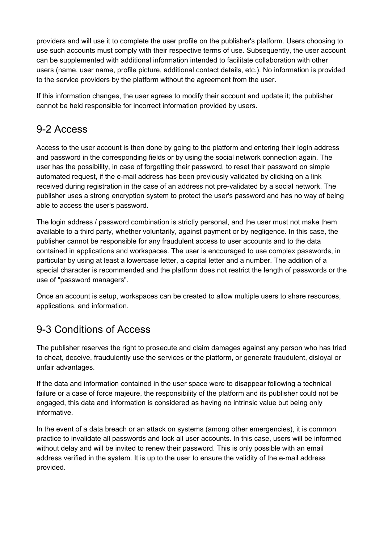providers and will use it to complete the user profile on the publisher's platform. Users choosing to use such accounts must comply with their respective terms of use. Subsequently, the user account can be supplemented with additional information intended to facilitate collaboration with other users (name, user name, profile picture, additional contact details, etc.). No information is provided to the service providers by the platform without the agreement from the user.

If this information changes, the user agrees to modify their account and update it; the publisher cannot be held responsible for incorrect information provided by users.

### <span id="page-19-0"></span>9-2 Access

Access to the user account is then done by going to the platform and entering their login address and password in the corresponding fields or by using the social network connection again. The user has the possibility, in case of forgetting their password, to reset their password on simple automated request, if the e-mail address has been previously validated by clicking on a link received during registration in the case of an address not pre-validated by a social network. The publisher uses a strong encryption system to protect the user's password and has no way of being able to access the user's password.

The login address / password combination is strictly personal, and the user must not make them available to a third party, whether voluntarily, against payment or by negligence. In this case, the publisher cannot be responsible for any fraudulent access to user accounts and to the data contained in applications and workspaces. The user is encouraged to use complex passwords, in particular by using at least a lowercase letter, a capital letter and a number. The addition of a special character is recommended and the platform does not restrict the length of passwords or the use of "password managers".

Once an account is setup, workspaces can be created to allow multiple users to share resources, applications, and information.

### <span id="page-19-1"></span>9-3 Conditions of Access

The publisher reserves the right to prosecute and claim damages against any person who has tried to cheat, deceive, fraudulently use the services or the platform, or generate fraudulent, disloyal or unfair advantages.

If the data and information contained in the user space were to disappear following a technical failure or a case of force majeure, the responsibility of the platform and its publisher could not be engaged, this data and information is considered as having no intrinsic value but being only informative.

In the event of a data breach or an attack on systems (among other emergencies), it is common practice to invalidate all passwords and lock all user accounts. In this case, users will be informed without delay and will be invited to renew their password. This is only possible with an email address verified in the system. It is up to the user to ensure the validity of the e-mail address provided.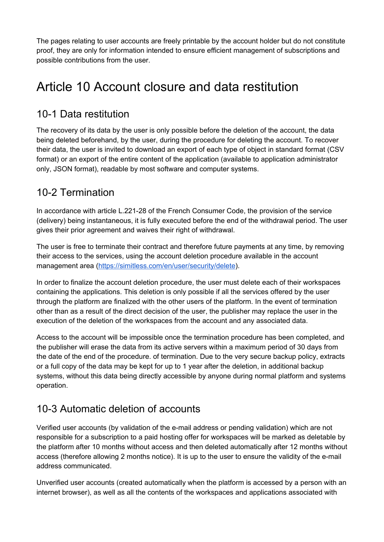The pages relating to user accounts are freely printable by the account holder but do not constitute proof, they are only for information intended to ensure efficient management of subscriptions and possible contributions from the user.

## <span id="page-20-0"></span>Article 10 Account closure and data restitution

### <span id="page-20-1"></span>10-1 Data restitution

The recovery of its data by the user is only possible before the deletion of the account, the data being deleted beforehand, by the user, during the procedure for deleting the account. To recover their data, the user is invited to download an export of each type of object in standard format (CSV format) or an export of the entire content of the application (available to application administrator only, JSON format), readable by most software and computer systems.

### <span id="page-20-2"></span>10-2 Termination

In accordance with article L.221-28 of the French Consumer Code, the provision of the service (delivery) being instantaneous, it is fully executed before the end of the withdrawal period. The user gives their prior agreement and waives their right of withdrawal.

The user is free to terminate their contract and therefore future payments at any time, by removing their access to the services, using the account deletion procedure available in the account management area [\(https://simitless.com/en/user/security/delete\)](https://simitless.com/en/user/security/delete).

In order to finalize the account deletion procedure, the user must delete each of their workspaces containing the applications. This deletion is only possible if all the services offered by the user through the platform are finalized with the other users of the platform. In the event of termination other than as a result of the direct decision of the user, the publisher may replace the user in the execution of the deletion of the workspaces from the account and any associated data.

Access to the account will be impossible once the termination procedure has been completed, and the publisher will erase the data from its active servers within a maximum period of 30 days from the date of the end of the procedure. of termination. Due to the very secure backup policy, extracts or a full copy of the data may be kept for up to 1 year after the deletion, in additional backup systems, without this data being directly accessible by anyone during normal platform and systems operation.

### <span id="page-20-3"></span>10-3 Automatic deletion of accounts

Verified user accounts (by validation of the e-mail address or pending validation) which are not responsible for a subscription to a paid hosting offer for workspaces will be marked as deletable by the platform after 10 months without access and then deleted automatically after 12 months without access (therefore allowing 2 months notice). It is up to the user to ensure the validity of the e-mail address communicated.

Unverified user accounts (created automatically when the platform is accessed by a person with an internet browser), as well as all the contents of the workspaces and applications associated with